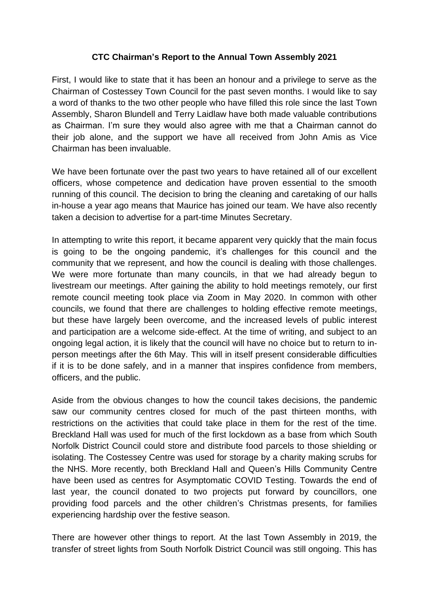## **CTC Chairman's Report to the Annual Town Assembly 2021**

First, I would like to state that it has been an honour and a privilege to serve as the Chairman of Costessey Town Council for the past seven months. I would like to say a word of thanks to the two other people who have filled this role since the last Town Assembly, Sharon Blundell and Terry Laidlaw have both made valuable contributions as Chairman. I'm sure they would also agree with me that a Chairman cannot do their job alone, and the support we have all received from John Amis as Vice Chairman has been invaluable.

We have been fortunate over the past two years to have retained all of our excellent officers, whose competence and dedication have proven essential to the smooth running of this council. The decision to bring the cleaning and caretaking of our halls in-house a year ago means that Maurice has joined our team. We have also recently taken a decision to advertise for a part-time Minutes Secretary.

In attempting to write this report, it became apparent very quickly that the main focus is going to be the ongoing pandemic, it's challenges for this council and the community that we represent, and how the council is dealing with those challenges. We were more fortunate than many councils, in that we had already begun to livestream our meetings. After gaining the ability to hold meetings remotely, our first remote council meeting took place via Zoom in May 2020. In common with other councils, we found that there are challenges to holding effective remote meetings, but these have largely been overcome, and the increased levels of public interest and participation are a welcome side-effect. At the time of writing, and subject to an ongoing legal action, it is likely that the council will have no choice but to return to inperson meetings after the 6th May. This will in itself present considerable difficulties if it is to be done safely, and in a manner that inspires confidence from members, officers, and the public.

Aside from the obvious changes to how the council takes decisions, the pandemic saw our community centres closed for much of the past thirteen months, with restrictions on the activities that could take place in them for the rest of the time. Breckland Hall was used for much of the first lockdown as a base from which South Norfolk District Council could store and distribute food parcels to those shielding or isolating. The Costessey Centre was used for storage by a charity making scrubs for the NHS. More recently, both Breckland Hall and Queen's Hills Community Centre have been used as centres for Asymptomatic COVID Testing. Towards the end of last year, the council donated to two projects put forward by councillors, one providing food parcels and the other children's Christmas presents, for families experiencing hardship over the festive season.

There are however other things to report. At the last Town Assembly in 2019, the transfer of street lights from South Norfolk District Council was still ongoing. This has